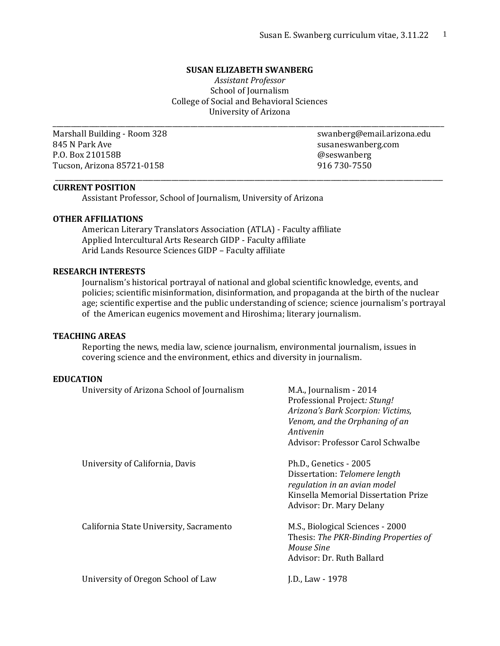#### **SUSAN ELIZABETH SWANBERG**

*Assistant Professor* School of Journalism College of Social and Behavioral Sciences University of Arizona

\_\_\_\_\_\_\_\_\_\_\_\_\_\_\_\_\_\_\_\_\_\_\_\_\_\_\_\_\_\_\_\_\_\_\_\_\_\_\_\_\_\_\_\_\_\_\_\_\_\_\_\_\_\_\_\_\_\_\_\_\_\_\_\_\_\_\_\_\_\_\_\_\_\_\_\_\_\_\_\_\_\_\_\_\_\_\_\_\_\_\_\_\_\_\_\_\_\_\_\_\_\_\_\_\_\_\_\_

\_\_\_\_\_\_\_\_\_\_\_\_\_\_\_\_\_\_\_\_\_\_\_\_\_\_\_\_\_\_\_\_\_\_\_\_\_\_\_\_\_\_\_\_\_\_\_\_\_\_\_\_\_\_\_\_\_\_\_\_\_\_\_\_\_\_\_\_\_\_\_\_\_\_\_\_\_\_\_\_\_\_\_\_\_\_\_\_\_\_\_\_\_\_\_\_\_\_\_\_\_\_\_\_\_\_\_

845 N Park Ave susaneswanberg.com P.O. Box 210158B **and Solution** and Security and Security and Security and Security and Security and Security and Security and Security and Security and Security and Security and Security and Security and Security and Secu Tucson, Arizona 85721-0158 916 730-7550

Marshall Building - Room 328 swanberg@email.arizona.edu

#### **CURRENT POSITION**

Assistant Professor, School of Journalism, University of Arizona

#### **OTHER AFFILIATIONS**

American Literary Translators Association (ATLA) - Faculty affiliate Applied Intercultural Arts Research GIDP - Faculty affiliate Arid Lands Resource Sciences GIDP – Faculty affiliate

#### **RESEARCH INTERESTS**

Journalism's historical portrayal of national and global scientific knowledge, events, and policies; scientific misinformation, disinformation, and propaganda at the birth of the nuclear age; scientific expertise and the public understanding of science; science journalism's portrayal of the American eugenics movement and Hiroshima; literary journalism.

#### **TEACHING AREAS**

Reporting the news, media law, science journalism, environmental journalism, issues in covering science and the environment, ethics and diversity in journalism.

#### **EDUCATION**

| University of Arizona School of Journalism | M.A., Journalism - 2014<br>Professional Project: Stung!<br>Arizona's Bark Scorpion: Victims,<br>Venom, and the Orphaning of an<br>Antivenin<br>Advisor: Professor Carol Schwalbe |
|--------------------------------------------|----------------------------------------------------------------------------------------------------------------------------------------------------------------------------------|
| University of California, Davis            | Ph.D., Genetics - 2005<br>Dissertation: Telomere length<br>regulation in an avian model<br>Kinsella Memorial Dissertation Prize<br>Advisor: Dr. Mary Delany                      |
| California State University, Sacramento    | M.S., Biological Sciences - 2000<br>Thesis: The PKR-Binding Properties of<br>Mouse Sine<br>Advisor: Dr. Ruth Ballard                                                             |
| University of Oregon School of Law         | J.D., Law - 1978                                                                                                                                                                 |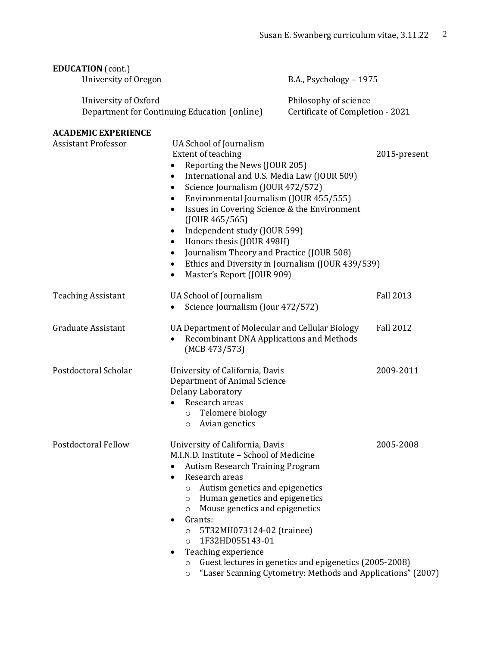| <b>EDUCATION</b> (cont.)<br>University of Oregon         |                                                                                                                                                                                                                                                                                                                                                                                                                                                                                                                                                                                           | B.A., Psychology - 1975                                   |                  |
|----------------------------------------------------------|-------------------------------------------------------------------------------------------------------------------------------------------------------------------------------------------------------------------------------------------------------------------------------------------------------------------------------------------------------------------------------------------------------------------------------------------------------------------------------------------------------------------------------------------------------------------------------------------|-----------------------------------------------------------|------------------|
| University of Oxford                                     | Department for Continuing Education (online)                                                                                                                                                                                                                                                                                                                                                                                                                                                                                                                                              | Philosophy of science<br>Certificate of Completion - 2021 |                  |
| <b>ACADEMIC EXPERIENCE</b><br><b>Assistant Professor</b> | UA School of Journalism<br>Extent of teaching<br>Reporting the News (JOUR 205)<br>$\bullet$<br>International and U.S. Media Law (JOUR 509)<br>$\bullet$<br>Science Journalism (JOUR 472/572)<br>$\bullet$<br>Environmental Journalism (JOUR 455/555)<br>$\bullet$<br>Issues in Covering Science & the Environment<br>$\bullet$<br>$($ JOUR 465/565)<br>Independent study (JOUR 599)<br>٠<br>Honors thesis (JOUR 498H)<br>٠<br>Journalism Theory and Practice (JOUR 508)<br>٠<br>Ethics and Diversity in Journalism (JOUR 439/539)<br>$\bullet$<br>Master's Report (JOUR 909)<br>$\bullet$ |                                                           | 2015-present     |
| <b>Teaching Assistant</b>                                | UA School of Journalism<br>Science Journalism (Jour 472/572)<br>$\bullet$                                                                                                                                                                                                                                                                                                                                                                                                                                                                                                                 |                                                           | <b>Fall 2013</b> |
| <b>Graduate Assistant</b>                                | UA Department of Molecular and Cellular Biology<br>Recombinant DNA Applications and Methods<br>(MCB 473/573)                                                                                                                                                                                                                                                                                                                                                                                                                                                                              |                                                           | <b>Fall 2012</b> |
| Postdoctoral Scholar                                     | University of California, Davis<br>Department of Animal Science<br>Delany Laboratory<br>Research areas<br>Telomere biology<br>$\circ$<br>Avian genetics<br>О                                                                                                                                                                                                                                                                                                                                                                                                                              |                                                           | 2009-2011        |
| <b>Postdoctoral Fellow</b>                               | University of California, Davis<br>M.I.N.D. Institute - School of Medicine<br><b>Autism Research Training Program</b><br>Research areas<br>$\bullet$<br>Autism genetics and epigenetics<br>O<br>Human genetics and epigenetics<br>$\circ$<br>Mouse genetics and epigenetics<br>O<br>Grants:<br>$\bullet$<br>5T32MH073124-02 (trainee)<br>$\circ$<br>1F32HD055143-01<br>$\circ$<br>Teaching experience<br>$\circ$                                                                                                                                                                          | Guest lectures in genetics and epigenetics (2005-2008)    | 2005-2008        |

o "Laser Scanning Cytometry: Methods and Applications" (2007)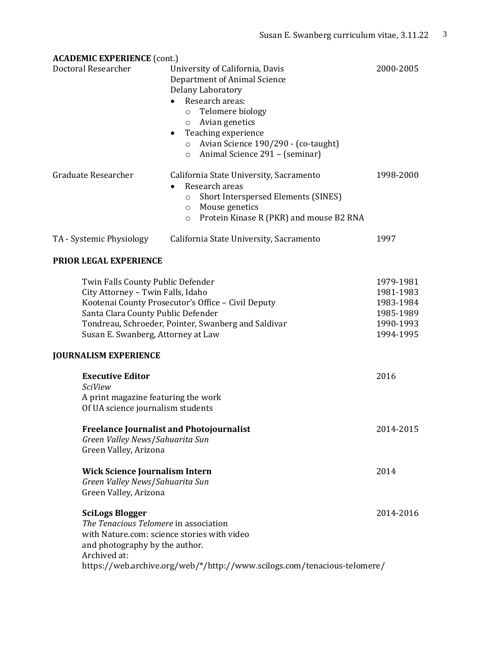| <b>ACADEMIC EXPERIENCE (cont.)</b>                                                                                                                                                                                                                                                              |                                                                                                                                                                                                                                                                                                |                                                                            |
|-------------------------------------------------------------------------------------------------------------------------------------------------------------------------------------------------------------------------------------------------------------------------------------------------|------------------------------------------------------------------------------------------------------------------------------------------------------------------------------------------------------------------------------------------------------------------------------------------------|----------------------------------------------------------------------------|
| Doctoral Researcher                                                                                                                                                                                                                                                                             | University of California, Davis<br>Department of Animal Science<br>Delany Laboratory<br>Research areas:<br>Telomere biology<br>$\circ$<br>Avian genetics<br>$\circ$<br>Teaching experience<br>٠<br>Avian Science 190/290 - (co-taught)<br>$\circ$<br>Animal Science 291 - (seminar)<br>$\circ$ | 2000-2005                                                                  |
| Graduate Researcher                                                                                                                                                                                                                                                                             | California State University, Sacramento<br>Research areas<br>Short Interspersed Elements (SINES)<br>$\circ$<br>Mouse genetics<br>$\circ$<br>Protein Kinase R (PKR) and mouse B2 RNA<br>$\circ$                                                                                                 | 1998-2000                                                                  |
| TA - Systemic Physiology                                                                                                                                                                                                                                                                        | California State University, Sacramento                                                                                                                                                                                                                                                        | 1997                                                                       |
| PRIOR LEGAL EXPERIENCE                                                                                                                                                                                                                                                                          |                                                                                                                                                                                                                                                                                                |                                                                            |
| Twin Falls County Public Defender<br>City Attorney - Twin Falls, Idaho<br>Kootenai County Prosecutor's Office - Civil Deputy<br>Santa Clara County Public Defender<br>Tondreau, Schroeder, Pointer, Swanberg and Saldivar<br>Susan E. Swanberg, Attorney at Law<br><b>JOURNALISM EXPERIENCE</b> |                                                                                                                                                                                                                                                                                                | 1979-1981<br>1981-1983<br>1983-1984<br>1985-1989<br>1990-1993<br>1994-1995 |
| <b>Executive Editor</b><br><b>SciView</b><br>A print magazine featuring the work                                                                                                                                                                                                                |                                                                                                                                                                                                                                                                                                | 2016                                                                       |
| Of UA science journalism students                                                                                                                                                                                                                                                               |                                                                                                                                                                                                                                                                                                |                                                                            |
| <b>Freelance Journalist and Photojournalist</b><br>Green Valley News/Sahuarita Sun<br>Green Valley, Arizona                                                                                                                                                                                     |                                                                                                                                                                                                                                                                                                | 2014-2015                                                                  |
| <b>Wick Science Journalism Intern</b><br>Green Valley News/Sahuarita Sun<br>Green Valley, Arizona                                                                                                                                                                                               |                                                                                                                                                                                                                                                                                                | 2014                                                                       |
| <b>SciLogs Blogger</b><br>The Tenacious Telomere in association<br>with Nature.com: science stories with video<br>and photography by the author.<br>Archived at:                                                                                                                                | https://web.archive.org/web/*/http://www.scilogs.com/tenacious-telomere/                                                                                                                                                                                                                       | 2014-2016                                                                  |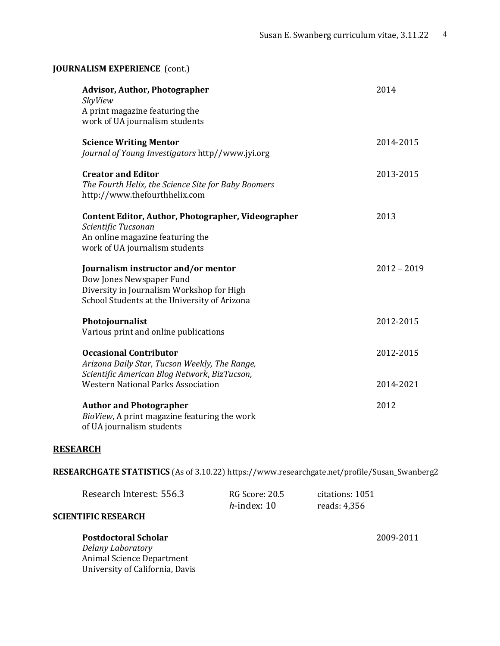| <b>JOURNALISM EXPERIENCE</b> (cont.)                                                                                                                         |               |
|--------------------------------------------------------------------------------------------------------------------------------------------------------------|---------------|
| <b>Advisor, Author, Photographer</b><br>SkyView<br>A print magazine featuring the<br>work of UA journalism students                                          | 2014          |
| <b>Science Writing Mentor</b><br>Journal of Young Investigators http//www.jyi.org                                                                            | 2014-2015     |
| <b>Creator and Editor</b><br>The Fourth Helix, the Science Site for Baby Boomers<br>http://www.thefourthhelix.com                                            | 2013-2015     |
| Content Editor, Author, Photographer, Videographer<br>Scientific Tucsonan<br>An online magazine featuring the<br>work of UA journalism students              | 2013          |
| Journalism instructor and/or mentor<br>Dow Jones Newspaper Fund<br>Diversity in Journalism Workshop for High<br>School Students at the University of Arizona | $2012 - 2019$ |
| Photojournalist<br>Various print and online publications                                                                                                     | 2012-2015     |
| <b>Occasional Contributor</b><br>Arizona Daily Star, Tucson Weekly, The Range,<br>Scientific American Blog Network, BizTucson,                               | 2012-2015     |
| <b>Western National Parks Association</b>                                                                                                                    | 2014-2021     |
| <b>Author and Photographer</b><br>BioView, A print magazine featuring the work<br>of UA journalism students                                                  | 2012          |

#### **RESEARCH**

**RESEARCHGATE STATISTICS** (As of 3.10.22) https://www.researchgate.net/profile/Susan\_Swanberg2

| Research Interest: 556.3 | <b>RG Score: 20.5</b> | citations: 1051 |
|--------------------------|-----------------------|-----------------|
|                          | $h$ -index: 10        | reads: 4,356    |
| TIEIC DECEADCH           |                       |                 |

# **SCIENTIFIC RESEARCH**

**Postdoctoral Scholar** 2009-2011 *Delany Laboratory*  Animal Science Department University of California, Davis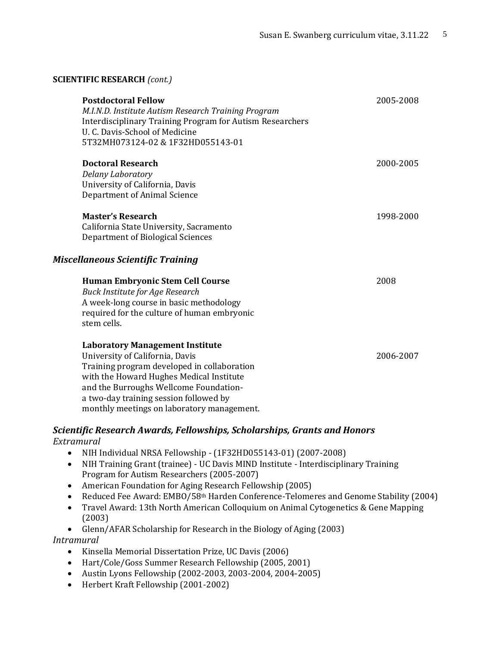| <b>SCIENTIFIC RESEARCH</b> (cont.) |  |
|------------------------------------|--|
|------------------------------------|--|

| <b>Postdoctoral Fellow</b><br>M.I.N.D. Institute Autism Research Training Program<br><b>Interdisciplinary Training Program for Autism Researchers</b><br>U. C. Davis-School of Medicine<br>5T32MH073124-02 & 1F32HD055143-01                                                                           | 2005-2008 |
|--------------------------------------------------------------------------------------------------------------------------------------------------------------------------------------------------------------------------------------------------------------------------------------------------------|-----------|
| <b>Doctoral Research</b><br>Delany Laboratory<br>University of California, Davis<br>Department of Animal Science                                                                                                                                                                                       | 2000-2005 |
| <b>Master's Research</b><br>California State University, Sacramento<br>Department of Biological Sciences                                                                                                                                                                                               | 1998-2000 |
| Miscellaneous Scientific Training                                                                                                                                                                                                                                                                      |           |
| <b>Human Embryonic Stem Cell Course</b><br><b>Buck Institute for Age Research</b><br>A week-long course in basic methodology<br>required for the culture of human embryonic<br>stem cells.                                                                                                             | 2008      |
| <b>Laboratory Management Institute</b><br>University of California, Davis<br>Training program developed in collaboration<br>with the Howard Hughes Medical Institute<br>and the Burroughs Wellcome Foundation-<br>a two-day training session followed by<br>monthly meetings on laboratory management. | 2006-2007 |

## *Scientific Research Awards, Fellowships, Scholarships, Grants and Honors Extramural*

- NIH Individual NRSA Fellowship (1F32HD055143-01) (2007-2008)
- NIH Training Grant (trainee) UC Davis MIND Institute Interdisciplinary Training Program for Autism Researchers (2005-2007)
- American Foundation for Aging Research Fellowship (2005)
- Reduced Fee Award: EMBO/58<sup>th</sup> Harden Conference-Telomeres and Genome Stability (2004)
- Travel Award: 13th North American Colloquium on Animal Cytogenetics & Gene Mapping (2003)
- Glenn/AFAR Scholarship for Research in the Biology of Aging (2003)

*Intramural*

- Kinsella Memorial Dissertation Prize, UC Davis (2006)
- Hart/Cole/Goss Summer Research Fellowship (2005, 2001)
- Austin Lyons Fellowship (2002-2003, 2003-2004, 2004-2005)
- Herbert Kraft Fellowship (2001-2002)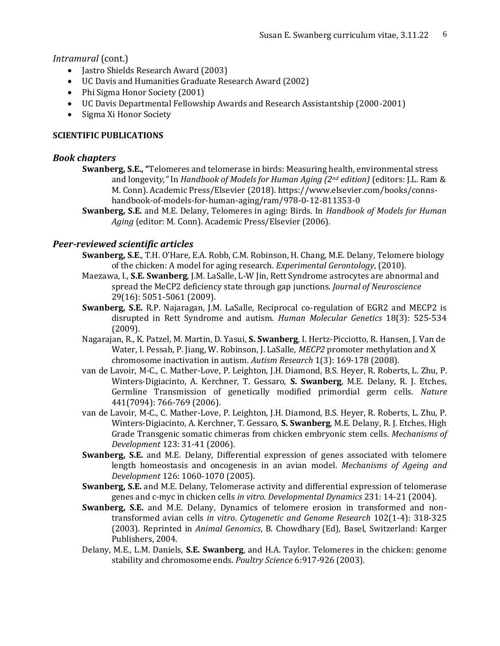*Intramural* (cont.)

- Jastro Shields Research Award (2003)
- UC Davis and Humanities Graduate Research Award (2002)
- Phi Sigma Honor Society (2001)
- UC Davis Departmental Fellowship Awards and Research Assistantship (2000-2001)
- Sigma Xi Honor Society

## **SCIENTIFIC PUBLICATIONS**

## *Book chapters*

- **Swanberg, S.E., "**Telomeres and telomerase in birds: Measuring health, environmental stress and longevit*y,"* In *Handbook of Models for Human Aging (2nd edition)* (editors: J.L. Ram & M. Conn). Academic Press/Elsevier (2018). [https://www.elsevier.com/books/conns](https://www.elsevier.com/books/conns-handbook-of-models-for-human-aging/ram/978-0-12-811353-0)[handbook-of-models-for-human-aging/ram/978-0-12-811353-0](https://www.elsevier.com/books/conns-handbook-of-models-for-human-aging/ram/978-0-12-811353-0)
- **Swanberg, S.E.** and M.E. Delany, Telomeres in aging: Birds. In *Handbook of Models for Human Aging* (editor: M. Conn). Academic Press/Elsevier (2006).

## *Peer-reviewed scientific articles*

- **Swanberg, S.E**., T.H. O'Hare, E.A. Robb, C.M. Robinson, H. Chang, M.E. Delany, Telomere biology of the chicken: A model for aging research. *Experimental Gerontology*, (2010).
- Maezawa, I., **S.E. Swanberg**, J.M. LaSalle, L-W Jin, Rett Syndrome astrocytes are abnormal and spread the MeCP2 deficiency state through gap junctions. *Journal of Neuroscience* 29(16): 5051-5061 (2009).
- **Swanberg, S.E.** R.P. Najaragan, J.M. LaSalle, Reciprocal co-regulation of EGR2 and MECP2 is disrupted in Rett Syndrome and autism. *Human Molecular Genetics* 18(3): 525-534 (2009).
- Nagarajan, R., K. Patzel, M. Martin, D. Yasui, **S. Swanberg**, I. Hertz-Picciotto, R. Hansen, J. Van de Water, I. Pessah, P. Jiang, W. Robinson, J. LaSalle, *MECP2* promoter methylation and X chromosome inactivation in autism. *Autism Research* 1(3): 169-178 (2008).
- van de Lavoir, M-C., C. Mather-Love, P. Leighton, J.H. Diamond, B.S. Heyer, R. Roberts, L. Zhu, P. Winters-Digiacinto, A. Kerchner, T. Gessaro, **S. Swanberg**, M.E. Delany, R. J. Etches, Germline Transmission of genetically modified primordial germ cells. *Nature*  441(7094): 766-769 (2006).
- van de Lavoir, M-C., C. Mather-Love, P. Leighton, J.H. Diamond, B.S. Heyer, R. Roberts, L. Zhu, P. Winters-Digiacinto, A. Kerchner, T. Gessaro, **S. Swanberg**, M.E. Delany, R. J. Etches, High Grade Transgenic somatic chimeras from chicken embryonic stem cells. *Mechanisms of Development* 123: 31-41 (2006).
- **Swanberg, S.E.** and M.E. Delany, Differential expression of genes associated with telomere length homeostasis and oncogenesis in an avian model. *Mechanisms of Ageing and Development* 126: 1060-1070 (2005).
- **Swanberg, S.E.** and M.E. Delany, Telomerase activity and differential expression of telomerase genes and c-myc in chicken cells *in vitro*. *Developmental Dynamics* 231: 14-21 (2004).
- **Swanberg, S.E.** and M.E. Delany, Dynamics of telomere erosion in transformed and nontransformed avian cells *in vitro*. *Cytogenetic and Genome Research* 102(1-4): 318-325 (2003). Reprinted in *Animal Genomics*, B. Chowdhary (Ed), Basel, Switzerland: Karger Publishers, 2004.
- Delany, M.E., L.M. Daniels, **S.E. Swanberg**, and H.A. Taylor. Telomeres in the chicken: genome stability and chromosome ends. *Poultry Science* 6:917-926 (2003).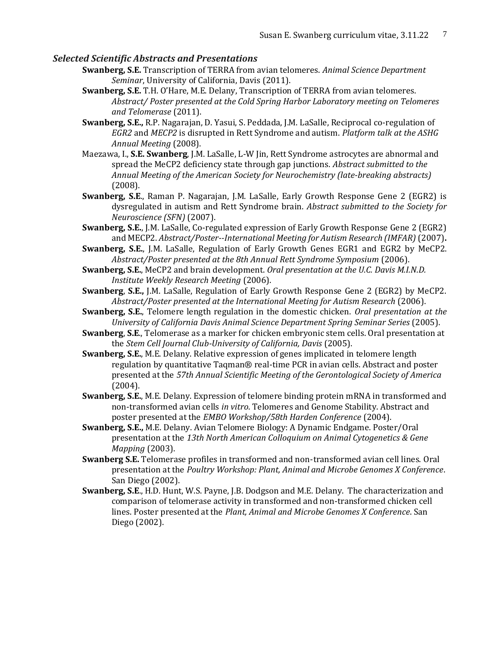#### *Selected Scientific Abstracts and Presentations*

- **Swanberg, S.E.** Transcription of TERRA from avian telomeres. *Animal Science Department Seminar*, University of California, Davis (2011).
- **Swanberg, S.E.** T.H. O'Hare, M.E. Delany, Transcription of TERRA from avian telomeres. *Abstract/ Poster presented at the Cold Spring Harbor Laboratory meeting on Telomeres and Telomerase* (2011).
- **Swanberg, S.E.,** R.P. Nagarajan, D. Yasui, S. Peddada, J.M. LaSalle, Reciprocal co-regulation of *EGR2* and *MECP2* is disrupted in Rett Syndrome and autism. *Platform talk at the ASHG Annual Meeting* (2008).
- Maezawa, I., **S.E. Swanberg**, J.M. LaSalle, L-W Jin, Rett Syndrome astrocytes are abnormal and spread the MeCP2 deficiency state through gap junctions. *Abstract submitted to the Annual Meeting of the American Society for Neurochemistry (late-breaking abstracts)*  (2008).
- **Swanberg, S.E**., Raman P. Nagarajan, J.M. LaSalle, Early Growth Response Gene 2 (EGR2) is dysregulated in autism and Rett Syndrome brain. *Abstract submitted to the Society for Neuroscience (SFN)* (2007).
- **Swanberg, S.E.**, J.M. LaSalle, Co-regulated expression of Early Growth Response Gene 2 (EGR2) and MECP2. *Abstract/Poster--International Meeting for Autism Research (IMFAR)* (2007)**.**
- **Swanberg, S.E.**, J.M. LaSalle, Regulation of Early Growth Genes EGR1 and EGR2 by MeCP2. *Abstract/Poster presented at the 8th Annual Rett Syndrome Symposium* (2006).
- **Swanberg, S.E.**, MeCP2 and brain development. *Oral presentation at the U.C. Davis M.I.N.D. Institute Weekly Research Meeting* (2006).
- **Swanberg**, **S.E.,** J.M. LaSalle, Regulation of Early Growth Response Gene 2 (EGR2) by MeCP2. *Abstract/Poster presented at the International Meeting for Autism Research* (2006).
- **Swanberg, S.E.**, Telomere length regulation in the domestic chicken. *Oral presentation at the University of California Davis Animal Science Department Spring Seminar Series* (2005).
- **Swanberg**, **S.E**., Telomerase as a marker for chicken embryonic stem cells. Oral presentation at the *Stem Cell Journal Club-University of California, Davis* (2005).
- **Swanberg, S.E.**, M.E. Delany. Relative expression of genes implicated in telomere length regulation by quantitative Taqman® real-time PCR in avian cells. Abstract and poster presented at the *57th Annual Scientific Meeting of the Gerontological Society of America*  (2004).
- **Swanberg, S.E.**, M.E. Delany. Expression of telomere binding protein mRNA in transformed and non-transformed avian cells *in vitro*. Telomeres and Genome Stability. Abstract and poster presented at the *EMBO Workshop/58th Harden Conference* (2004).
- **Swanberg, S.E.,** M.E. Delany. Avian Telomere Biology: A Dynamic Endgame. Poster/Oral presentation at the *13th North American Colloquium on Animal Cytogenetics & Gene Mapping* (2003).
- **Swanberg S.E.** Telomerase profiles in transformed and non-transformed avian cell lines. Oral presentation at the *Poultry Workshop: Plant, Animal and Microbe Genomes X Conference*. San Diego (2002).
- **Swanberg, S.E**., H.D. Hunt, W.S. Payne, J.B. Dodgson and M.E. Delany. The characterization and comparison of telomerase activity in transformed and non-transformed chicken cell lines. Poster presented at the *Plant, Animal and Microbe Genomes X Conference*. San Diego (2002).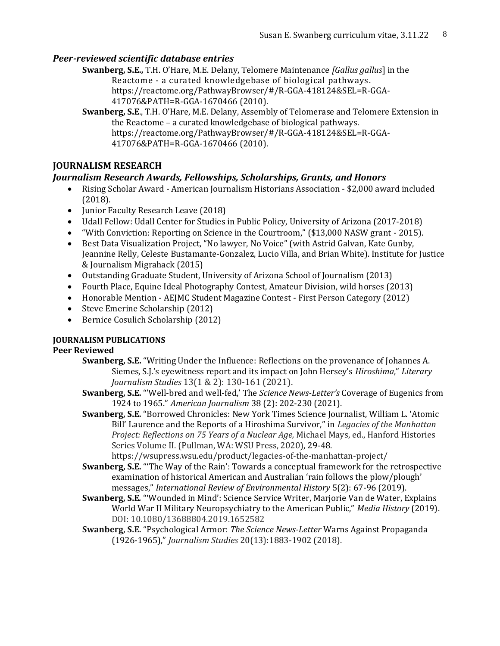# *Peer-reviewed scientific database entries*

**Swanberg, S.E.,** T.H. O'Hare, M.E. Delany, Telomere Maintenance *[Gallus gallus*] in the Reactome - a curated knowledgebase of biological pathways . [https://reactome.org/PathwayBrowser/#/R-GGA-418124&SEL=R-GGA-](https://reactome.org/PathwayBrowser/#/R-GGA-418124&SEL=R-GGA-417076&PATH=R-GGA-1670466)[417076&PATH=R-GGA-1670466](https://reactome.org/PathwayBrowser/#/R-GGA-418124&SEL=R-GGA-417076&PATH=R-GGA-1670466) (2010).

**Swanberg, S.E**., T.H. O'Hare, M.E. Delany, Assembly of Telomerase and Telomere Extension in the Reactome – a curated knowledgebase of biological pathways. [https://reactome.org/PathwayBrowser/#/R-GGA-418124&SEL=R-GGA-](https://reactome.org/PathwayBrowser/#/R-GGA-418124&SEL=R-GGA-417076&PATH=R-GGA-1670466)[417076&PATH=R-GGA-1670466](https://reactome.org/PathwayBrowser/#/R-GGA-418124&SEL=R-GGA-417076&PATH=R-GGA-1670466) (2010).

# **JOURNALISM RESEARCH**

# *Journalism Research Awards, Fellowships, Scholarships, Grants, and Honors*

- Rising Scholar Award American Journalism Historians Association \$2,000 award included (2018).
- Junior Faculty Research Leave (2018)
- Udall Fellow: Udall Center for Studies in Public Policy, University of Arizona (2017-2018)
- "With Conviction: Reporting on Science in the Courtroom," (\$13,000 NASW grant 2015).
- Best Data Visualization Project, "No lawyer, No Voice" (with Astrid Galvan, Kate Gunby, Jeannine Relly, Celeste Bustamante-Gonzalez, Lucio Villa, and Brian White). Institute for Justice & Journalism Migrahack (2015)
- Outstanding Graduate Student, University of Arizona School of Journalism (2013)
- Fourth Place, Equine Ideal Photography Contest, Amateur Division, wild horses (2013)
- Honorable Mention AEJMC Student Magazine Contest First Person Category (2012)
- Steve Emerine Scholarship (2012)
- Bernice Cosulich Scholarship (2012)

# **JOURNALISM PUBLICATIONS**

## **Peer Reviewed**

- **Swanberg, S.E.** "Writing Under the Influence: Reflections on the provenance of Johannes A. Siemes, S.J.'s eyewitness report and its impact on John Hersey's *Hiroshima*," *Literary Journalism Studies* 13(1 & 2): 130-161 (2021).
- **Swanberg, S.E.** "'Well-bred and well-fed,' The *Science News-Letter's* Coverage of Eugenics from 1924 to 1965." *American Journalism* 38 (2): 202-230 (2021).
- **Swanberg, S.E.** "Borrowed Chronicles: New York Times Science Journalist, William L. 'Atomic Bill' Laurence and the Reports of a Hiroshima Survivor," in *Legacies of the Manhattan Project: Reflections on 75 Years of a Nuclear Age,* Michael Mays, ed., Hanford Histories Series Volume II. (Pullman, WA: WSU Press, 2020), 29-48.

https://wsupress.wsu.edu/product/legacies-of-the-manhattan-project/

- **Swanberg, S.E.** "'The Way of the Rain': Towards a conceptual framework for the retrospective examination of historical American and Australian 'rain follows the plow/plough' messages," *International Review of Environmental History* 5(2): 67-96 (2019).
- **Swanberg, S.E***.* "'Wounded in Mind': Science Service Writer, Marjorie Van de Water, Explains World War II Military Neuropsychiatry to the American Public," *Media History* (2019). DOI: [10.1080/13688804.2019.1652582](https://doi.org/10.1080/13688804.2019.1652582)
- **Swanberg, S.E.** "Psychological Armor: *The Science News-Letter* Warns Against Propaganda (1926-1965)," *Journalism Studies* 20(13):1883-1902 (2018).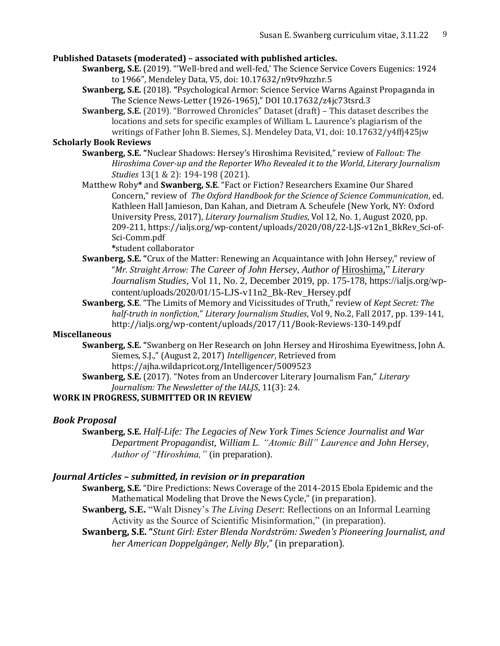#### **Published Datasets (moderated) – associated with published articles.**

- **Swanberg, S.E.** (2019). "'Well-bred and well-fed,' The Science Service Covers Eugenics: 1924 to 1966", Mendeley Data, V5, doi: 10.17632/n9tv9hzzhr.5
- **Swanberg, S.E.** (2018). **"**Psychological Armor: Science Service Warns Against Propaganda in The Science News-Letter (1926-1965)," DOI 10.17632/z4jc73tsrd.3
- **Swanberg, S.E.** (2019). "Borrowed Chronicles" Dataset (draft) This dataset describes the locations and sets for specific examples of William L. Laurence's plagiarism of the writings of Father John B. Siemes, S.J. Mendeley Data, V1, doi: 10.17632/y4ffj425jw

#### **Scholarly Book Reviews**

- **Swanberg, S.E. "**Nuclear Shadows: Hersey's Hiroshima Revisited," review of *Fallout: The Hiroshima Cover-up and the Reporter Who Revealed it to the World*, *Literary Journalism Studies* 13(1 & 2): 194-198 (2021).
- Matthew Roby**\*** and **Swanberg, S.E**. "Fact or Fiction? Researchers Examine Our Shared Concern," review of *The Oxford Handbook for the Science of Science Communication*, ed. Kathleen Hall Jamieson, Dan Kahan, and Dietram A. Scheufele (New York, NY: Oxford University Press, 2017), *Literary Journalism Studies*, Vol 12, No. 1, August 2020, pp. 209-211, https://ialjs.org/wp-content/uploads/2020/08/22-LJS-v12n1\_BkRev\_Sci-of-Sci-Comm.pdf

**\***student collaborator

- **Swanberg, S.E. "**Crux of the Matter: Renewing an Acquaintance with John Hersey," review of "*Mr. Straight Arrow: The Career of John Hersey, Author of* Hiroshima," *Literary Journalism Studies*, Vol 11, No. 2, December 2019, pp. 175-178, https://ialjs.org/wpcontent/uploads/2020/01/15-LJS-v11n2\_Bk-Rev\_Hersey.pdf
- **Swanberg, S.E**. "The Limits of Memory and Vicissitudes of Truth," review of *Kept Secret: The half-truth in nonfiction*," *Literary Journalism Studies*, Vol 9, No.2, Fall 2017, pp. 139-141, <http://ialjs.org/wp-content/uploads/2017/11/Book-Reviews-130-149.pdf>

#### **Miscellaneous**

**Swanberg, S.E. "**Swanberg on Her Research on John Hersey and Hiroshima Eyewitness, John A. Siemes, S.J.," (August 2, 2017) *Intelligencer*, Retrieved from <https://ajha.wildapricot.org/Intelligencer/5009523>

**Swanberg, S.E.** (2017). "Notes from an Undercover Literary Journalism Fan," *Literary Journalism: The Newsletter of the IALJS*, 11(3): 24.

#### **WORK IN PROGRESS, SUBMITTED OR IN REVIEW**

#### *Book Proposal*

**Swanberg, S.E.** *Half-Life: The Legacies of New York Times Science Journalist and War Department Propagandist, William L. "Atomic Bill" Laurence and John Hersey, Author of "Hiroshima,"* (in preparation).

## *Journal Articles – submitted, in revision or in preparation*

**Swanberg, S.E.** "Dire Predictions: News Coverage of the 2014-2015 Ebola Epidemic and the Mathematical Modeling that Drove the News Cycle," (in preparation).

**Swanberg, S.E.** "Walt Disney's *The Living Desert*: Reflections on an Informal Learning Activity as the Source of Scientific Misinformation," (in preparation).

**Swanberg, S.E. "***Stunt Girl: Ester Blenda Nordström: Sweden's Pioneering Journalist, and her American Doppelgänger, Nelly Bly*," (in preparation).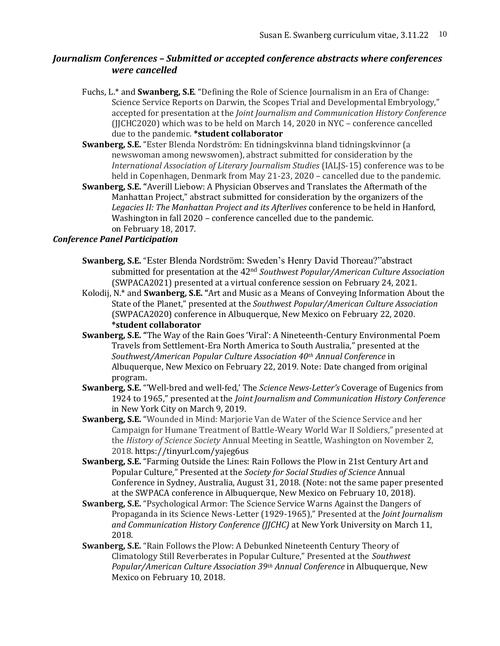# *Journalism Conferences – Submitted or accepted conference abstracts where conferences were cancelled*

Fuchs, L.\* and **Swanberg, S.E**. "Defining the Role of Science Journalism in an Era of Change: Science Service Reports on Darwin, the Scopes Trial and Developmental Embryology," accepted for presentation at the *Joint Journalism and Communication History Conference* (JJCHC2020) which was to be held on March 14, 2020 in NYC – conference cancelled due to the pandemic. **\*student collaborator**

- **Swanberg, S.E.** "Ester Blenda Nordström: En tidningskvinna bland tidningskvinnor (a newswoman among newswomen), abstract submitted for consideration by the *International Association of Literary Journalism Studies* (IALJS-15) conference was to be held in Copenhagen, Denmark from May 21-23, 2020 – cancelled due to the pandemic.
- **Swanberg, S.E. "**Averill Liebow: A Physician Observes and Translates the Aftermath of the Manhattan Project," abstract submitted for consideration by the organizers of the *Legacies II: The Manhattan Project and its Afterlives* conference to be held in Hanford, Washington in fall 2020 – conference cancelled due to the pandemic. on February 18, 2017.

## *Conference Panel Participation*

- **Swanberg, S.E.** "Ester Blenda Nordström: Sweden's Henry David Thoreau?"abstract submitted for presentation at the 42nd *Southwest Popular/American Culture Association* (SWPACA2021) presented at a virtual conference session on February 24, 2021.
- Kolodij, N.\* and **Swanberg, S.E. "**Art and Music as a Means of Conveying Information About the State of the Planet," presented at the *Southwest Popular/American Culture Association* (SWPACA2020) conference in Albuquerque, New Mexico on February 22, 2020. **\*student collaborator**
- **Swanberg, S.E. "**The Way of the Rain Goes 'Viral': A Nineteenth-Century Environmental Poem Travels from Settlement-Era North America to South Australia," presented at the *Southwest/American Popular Culture Association 40th Annual Conference* in Albuquerque, New Mexico on February 22, 2019. Note: Date changed from original program.
- **Swanberg, S.E.** "'Well-bred and well-fed,' The *Science News-Letter's* Coverage of Eugenics from 1924 to 1965," presented at the *Joint Journalism and Communication History Conference* in New York City on March 9, 2019.
- **Swanberg, S.E.** "Wounded in Mind: Marjorie Van de Water of the Science Service and her Campaign for Humane Treatment of Battle-Weary World War II Soldiers," presented at the *History of Science Society* Annual Meeting in Seattle, Washington on November 2, 2018. https://tinyurl.com/yajeg6us
- **Swanberg, S.E.** "Farming Outside the Lines: Rain Follows the Plow in 21st Century Art and Popular Culture," Presented at the *Society for Social Studies of Science* Annual Conference in Sydney, Australia, August 31, 2018. (Note: not the same paper presented at the SWPACA conference in Albuquerque, New Mexico on February 10, 2018).
- **Swanberg, S.E.** "Psychological Armor: The Science Service Warns Against the Dangers of Propaganda in its Science News-Letter (1929-1965)," Presented at the *Joint Journalism and Communication History Conference (JJCHC)* at New York University on March 11, 2018.
- **Swanberg, S.E.** "Rain Follows the Plow: A Debunked Nineteenth Century Theory of Climatology Still Reverberates in Popular Culture," Presented at the *Southwest Popular/American Culture Association 39th Annual Conference* in Albuquerque, New Mexico on February 10, 2018.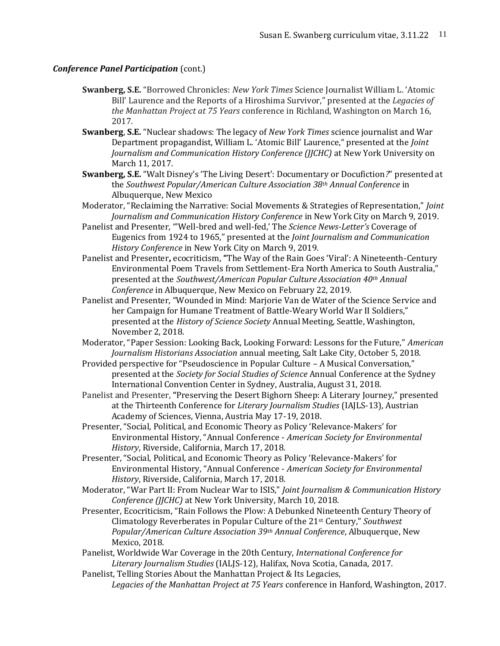#### *Conference Panel Participation (cont.)*

- **Swanberg, S.E.** "Borrowed Chronicles: *New York Times* Science Journalist William L. 'Atomic Bill' Laurence and the Reports of a Hiroshima Survivor," presented at the *Legacies of the Manhattan Project at 75 Years* conference in Richland, Washington on March 16, 2017.
- **Swanberg**, **S.E.** "Nuclear shadows: The legacy of *New York Times* science journalist and War Department propagandist, William L. 'Atomic Bill' Laurence," presented at the *Joint Journalism and Communication History Conference (JJCHC)* at New York University on March 11, 2017.
- **Swanberg, S.E.** "Walt Disney's 'The Living Desert': Documentary or Docufiction*?*" presented at the *Southwest Popular/American Culture Association 38th Annual Conference* in Albuquerque, New Mexico
- Moderator, "Reclaiming the Narrative: Social Movements & Strategies of Representation," *Joint Journalism and Communication History Conference* in New York City on March 9, 2019.
- Panelist and Presenter, "'Well-bred and well-fed,' The *Science News-Letter's* Coverage of Eugenics from 1924 to 1965," presented at the *Joint Journalism and Communication History Conference* in New York City on March 9, 2019.
- Panelist and Presenter**,** ecocriticism, **"**The Way of the Rain Goes 'Viral': A Nineteenth-Century Environmental Poem Travels from Settlement-Era North America to South Australia," presented at the *Southwest/American Popular Culture Association 40th Annual Conference* in Albuquerque, New Mexico on February 22, 2019.
- Panelist and Presenter, "Wounded in Mind: Marjorie Van de Water of the Science Service and her Campaign for Humane Treatment of Battle-Weary World War II Soldiers," presented at the *History of Science Society* Annual Meeting, Seattle, Washington, November 2, 2018.
- Moderator, "Paper Session: Looking Back, Looking Forward: Lessons for the Future," *American Journalism Historians Association* annual meeting, Salt Lake City, October 5, 2018.
- Provided perspective for "Pseudoscience in Popular Culture A Musical Conversation," presented at the *Society for Social Studies of Science* Annual Conference at the Sydney International Convention Center in Sydney, Australia, August 31, 2018.
- Panelist and Presenter, **"**Preserving the Desert Bighorn Sheep: A Literary Journey," presented at the Thirteenth Conference for *Literary Journalism Studies* (IAJLS-13), Austrian Academy of Sciences, Vienna, Austria May 17-19, 2018.
- Presenter, "Social, Political, and Economic Theory as Policy 'Relevance-Makers' for Environmental History, "Annual Conference - *American Society for Environmental History*, Riverside, California, March 17, 2018.
- Presenter, "Social, Political, and Economic Theory as Policy 'Relevance-Makers' for Environmental History, "Annual Conference - *American Society for Environmental History*, Riverside, California, March 17, 2018.
- Moderator, "War Part II: From Nuclear War to ISIS," *Joint Journalism & Communication History Conference (JJCHC)* at New York University, March 10, 2018.
- Presenter, Ecocriticism, "Rain Follows the Plow: A Debunked Nineteenth Century Theory of Climatology Reverberates in Popular Culture of the 21st Century," *Southwest Popular/American Culture Association 39th Annual Conference*, Albuquerque, New Mexico, 2018.
- Panelist, Worldwide War Coverage in the 20th Century, *International Conference for Literary Journalism Studies* (IALJS-12), Halifax, Nova Scotia, Canada, 2017.
- Panelist, Telling Stories About the Manhattan Project & Its Legacies, *Legacies of the Manhattan Project at 75 Years* conference in Hanford, Washington, 2017.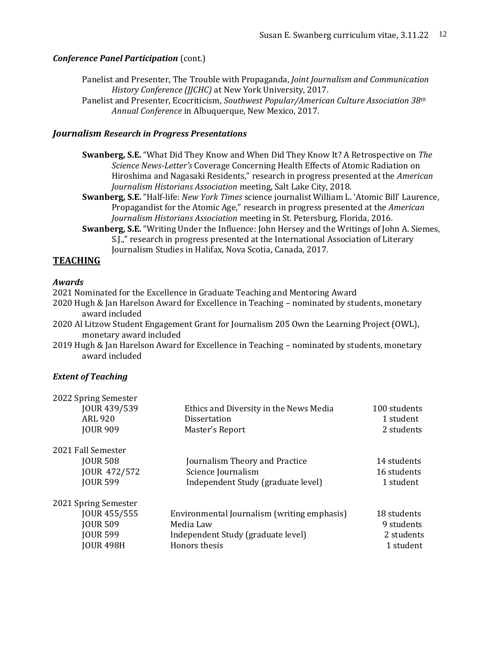## *Conference Panel Participation (cont.)*

Panelist and Presenter, The Trouble with Propaganda, *Joint Journalism and Communication History Conference (JJCHC)* at New York University, 2017.

Panelist and Presenter, Ecocriticism, *Southwest Popular/American Culture Association 38th Annual Conference* in Albuquerque, New Mexico, 2017.

### *Journalism Research in Progress Presentations*

- **Swanberg, S.E.** "What Did They Know and When Did They Know It? A Retrospective on *The Science News-Letter's* Coverage Concerning Health Effects of Atomic Radiation on Hiroshima and Nagasaki Residents," research in progress presented at the *American Journalism Historians Association* meeting, Salt Lake City, 2018.
- **Swanberg, S.E.** "Half-life: *New York Times* science journalist William L. 'Atomic Bill' Laurence, Propagandist for the Atomic Age," research in progress presented at the *American Journalism Historians Association* meeting in St. Petersburg, Florida, 2016.
- **Swanberg, S.E.** "Writing Under the Influence: John Hersey and the Writings of John A. Siemes, S.J.," research in progress presented at the International Association of Literary Journalism Studies in Halifax, Nova Scotia, Canada, 2017.

## **TEACHING**

#### *Awards*

2021 Nominated for the Excellence in Graduate Teaching and Mentoring Award

2020 Hugh & Jan Harelson Award for Excellence in Teaching – nominated by students, monetary award included

2020 Al Litzow Student Engagement Grant for Journalism 205 Own the Learning Project (OWL), monetary award included

2019 Hugh & Jan Harelson Award for Excellence in Teaching – nominated by students, monetary award included

## *Extent of Teaching*

| 2022 Spring Semester<br>JOUR 439/539<br><b>ARL 920</b><br><b>JOUR 909</b>                      | Ethics and Diversity in the News Media<br><b>Dissertation</b><br>Master's Report                                | 100 students<br>1 student<br>2 students              |
|------------------------------------------------------------------------------------------------|-----------------------------------------------------------------------------------------------------------------|------------------------------------------------------|
| 2021 Fall Semester<br><b>JOUR 508</b><br>JOUR 472/572<br><b>JOUR 599</b>                       | Journalism Theory and Practice<br>Science Journalism<br>Independent Study (graduate level)                      | 14 students<br>16 students<br>1 student              |
| 2021 Spring Semester<br>JOUR 455/555<br><b>JOUR 509</b><br><b>JOUR 599</b><br><b>JOUR 498H</b> | Environmental Journalism (writing emphasis)<br>Media Law<br>Independent Study (graduate level)<br>Honors thesis | 18 students<br>9 students<br>2 students<br>1 student |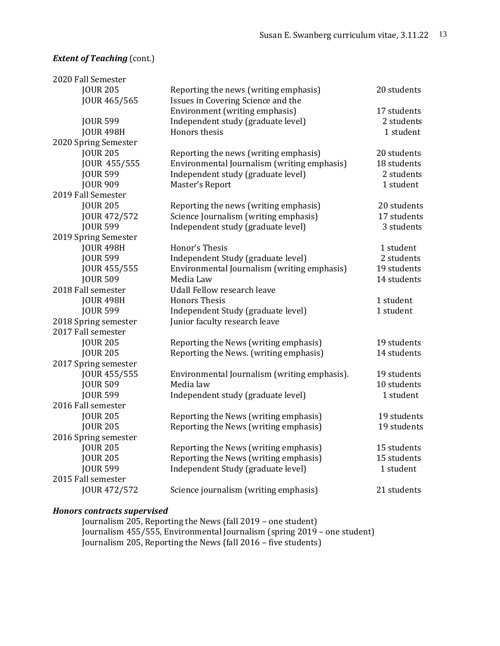## *Extent of Teaching* (cont.)

| 2020 Fall Semester   |                                              |             |
|----------------------|----------------------------------------------|-------------|
| <b>JOUR 205</b>      | Reporting the news (writing emphasis)        | 20 students |
| JOUR 465/565         | Issues in Covering Science and the           |             |
|                      | Environment (writing emphasis)               | 17 students |
| <b>JOUR 599</b>      | Independent study (graduate level)           | 2 students  |
| <b>JOUR 498H</b>     | Honors thesis                                | 1 student   |
| 2020 Spring Semester |                                              |             |
| <b>JOUR 205</b>      | Reporting the news (writing emphasis)        | 20 students |
| JOUR 455/555         | Environmental Journalism (writing emphasis)  | 18 students |
| <b>JOUR 599</b>      | Independent study (graduate level)           | 2 students  |
| <b>JOUR 909</b>      | Master's Report                              | 1 student   |
| 2019 Fall Semester   |                                              |             |
| <b>JOUR 205</b>      | Reporting the news (writing emphasis)        | 20 students |
| JOUR 472/572         | Science Journalism (writing emphasis)        | 17 students |
| <b>JOUR 599</b>      | Independent study (graduate level)           | 3 students  |
| 2019 Spring Semester |                                              |             |
| <b>JOUR 498H</b>     | Honor's Thesis                               | 1 student   |
| <b>JOUR 599</b>      | Independent Study (graduate level)           | 2 students  |
| JOUR 455/555         | Environmental Journalism (writing emphasis)  | 19 students |
| <b>JOUR 509</b>      | Media Law                                    | 14 students |
| 2018 Fall semester   | <b>Udall Fellow research leave</b>           |             |
| <b>JOUR 498H</b>     | <b>Honors Thesis</b>                         | 1 student   |
| <b>JOUR 599</b>      | Independent Study (graduate level)           | 1 student   |
| 2018 Spring semester | Junior faculty research leave                |             |
| 2017 Fall semester   |                                              |             |
| <b>JOUR 205</b>      | Reporting the News (writing emphasis)        | 19 students |
| <b>JOUR 205</b>      | Reporting the News. (writing emphasis)       | 14 students |
| 2017 Spring semester |                                              |             |
| JOUR 455/555         | Environmental Journalism (writing emphasis). | 19 students |
| <b>JOUR 509</b>      | Media law                                    | 10 students |
| <b>JOUR 599</b>      | Independent study (graduate level)           | 1 student   |
| 2016 Fall semester   |                                              |             |
| <b>JOUR 205</b>      | Reporting the News (writing emphasis)        | 19 students |
| <b>JOUR 205</b>      | Reporting the News (writing emphasis)        | 19 students |
| 2016 Spring semester |                                              |             |
| <b>JOUR 205</b>      | Reporting the News (writing emphasis)        | 15 students |
| <b>JOUR 205</b>      | Reporting the News (writing emphasis)        | 15 students |
| <b>JOUR 599</b>      | Independent Study (graduate level)           | 1 student   |
| 2015 Fall semester   |                                              |             |
| JOUR 472/572         | Science journalism (writing emphasis)        | 21 students |
|                      |                                              |             |
|                      |                                              |             |

#### *Honors contracts supervised*

Journalism 205, Reporting the News (fall 2019 – one student) Journalism 455/555, Environmental Journalism (spring 2019 – one student) Journalism 205, Reporting the News (fall 2016 – five students)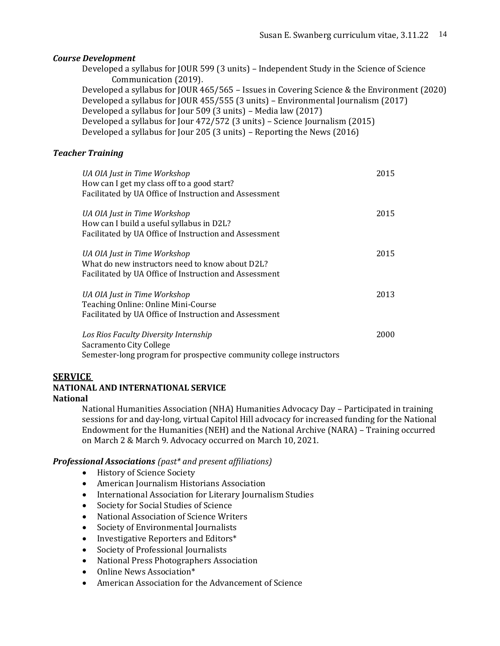#### *Course Development*

Developed a syllabus for JOUR 599 (3 units) – Independent Study in the Science of Science Communication (2019). Developed a syllabus for JOUR 465/565 – Issues in Covering Science & the Environment (2020) Developed a syllabus for JOUR 455/555 (3 units) – Environmental Journalism (2017) Developed a syllabus for Jour 509 (3 units) – Media law (2017) Developed a syllabus for Jour 472/572 (3 units) – Science Journalism (2015) Developed a syllabus for Jour 205 (3 units) – Reporting the News (2016)

#### *Teacher Training*

| UA OIA Just in Time Workshop<br>How can I get my class off to a good start?<br>Facilitated by UA Office of Instruction and Assessment     | 2015 |
|-------------------------------------------------------------------------------------------------------------------------------------------|------|
| UA OIA Just in Time Workshop<br>How can I build a useful syllabus in D2L?<br>Facilitated by UA Office of Instruction and Assessment       | 2015 |
| UA OIA Just in Time Workshop<br>What do new instructors need to know about D2L?<br>Facilitated by UA Office of Instruction and Assessment | 2015 |
| UA OIA Just in Time Workshop<br>Teaching Online: Online Mini-Course<br>Facilitated by UA Office of Instruction and Assessment             | 2013 |
| Los Rios Faculty Diversity Internship<br>Sacramento City College<br>Semester-long program for prospective community college instructors   | 2000 |

## **SERVICE**

#### **NATIONAL AND INTERNATIONAL SERVICE National**

National Humanities Association (NHA) Humanities Advocacy Day – Participated in training sessions for and day-long, virtual Capitol Hill advocacy for increased funding for the National Endowment for the Humanities (NEH) and the National Archive (NARA) – Training occurred on March 2 & March 9. Advocacy occurred on March 10, 2021.

#### *Professional Associations (past\* and present affiliations)*

- History of Science Society
- American Journalism Historians Association
- International Association for Literary Journalism Studies
- Society for Social Studies of Science
- National Association of Science Writers
- Society of Environmental Journalists
- Investigative Reporters and Editors\*
- Society of Professional Journalists
- National Press Photographers Association
- Online News Association\*
- American Association for the Advancement of Science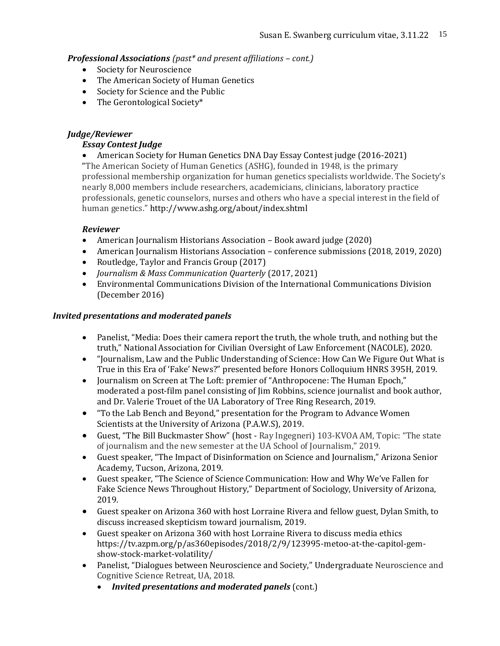## *Professional Associations (past\* and present affiliations – cont.)*

- Society for Neuroscience
- The American Society of Human Genetics
- Society for Science and the Public
- The Gerontological Society\*

## *Judge/Reviewer*

## *Essay Contest Judge*

• American Society for Human Genetics DNA Day Essay Contest judge (2016-2021) "The American Society of Human Genetics (ASHG), founded in 1948, is the primary professional membership organization for human genetics specialists worldwide. The Society's nearly 8,000 members include researchers, academicians, clinicians, laboratory practice professionals, genetic counselors, nurses and others who have a special interest in the field of human genetics." <http://www.ashg.org/about/index.shtml>

## *Reviewer*

- American Journalism Historians Association Book award judge (2020)
- American Journalism Historians Association conference submissions (2018, 2019, 2020)
- Routledge, Taylor and Francis Group (2017)
- *Journalism & Mass Communication Quarterly* (2017, 2021)
- Environmental Communications Division of the International Communications Division (December 2016)

## *Invited presentations and moderated panels*

- Panelist, "Media: Does their camera report the truth, the whole truth, and nothing but the truth," National Association for Civilian Oversight of Law Enforcement (NACOLE), 2020.
- "Journalism, Law and the Public Understanding of Science: How Can We Figure Out What is True in this Era of 'Fake' News?" presented before Honors Colloquium HNRS 395H, 2019.
- Journalism on Screen at The Loft: premier of "Anthropocene: The Human Epoch," moderated a post-film panel consisting of Jim Robbins, science journalist and book author, and Dr. Valerie Trouet of the UA Laboratory of Tree Ring Research, 2019.
- "To the Lab Bench and Beyond," presentation for the Program to Advance Women Scientists at the University of Arizona (P.A.W.S), 2019.
- Guest, "The Bill Buckmaster Show" (host Ray Ingegneri) 103-KVOA AM, Topic: "The state of journalism and the new semester at the UA School of Journalism," 2019.
- Guest speaker, "The Impact of Disinformation on Science and Journalism," Arizona Senior Academy, Tucson, Arizona, 2019.
- Guest speaker, "The Science of Science Communication: How and Why We've Fallen for Fake Science News Throughout History," Department of Sociology, University of Arizona, 2019.
- Guest speaker on Arizona 360 with host Lorraine Rivera and fellow guest, Dylan Smith, to discuss increased skepticism toward journalism, 2019.
- Guest speaker on Arizona 360 with host Lorraine Rivera to discuss media ethics [https://tv.azpm.org/p/as360episodes/2018/2/9/123995-metoo-at-the-capitol-gem](https://tv.azpm.org/p/as360episodes/2018/2/9/123995-metoo-at-the-capitol-gem-show-stock-market-volatility/)[show-stock-market-volatility/](https://tv.azpm.org/p/as360episodes/2018/2/9/123995-metoo-at-the-capitol-gem-show-stock-market-volatility/)
- Panelist, "Dialogues between Neuroscience and Society," Undergraduate Neuroscience and Cognitive Science Retreat, UA, 2018.
	- *Invited presentations and moderated panels* (cont.)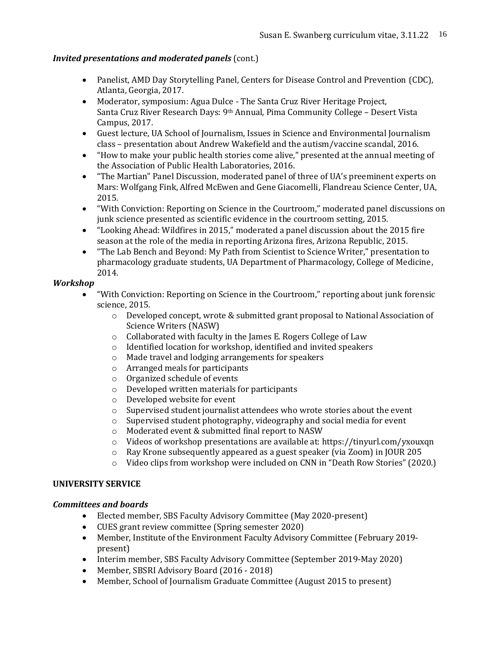## *Invited presentations and moderated panels* (cont.)

- Panelist, AMD Day Storytelling Panel, Centers for Disease Control and Prevention (CDC), Atlanta, Georgia, 2017.
- Moderator, symposium: Agua Dulce The Santa Cruz River Heritage Project, Santa Cruz River Research Days: 9th Annual*,* Pima Community College – Desert Vista Campus, 2017.
- Guest lecture, UA School of Journalism, Issues in Science and Environmental Journalism class – presentation about Andrew Wakefield and the autism/vaccine scandal, 2016.
- "How to make your public health stories come alive," presented at the annual meeting of the Association of Public Health Laboratories, 2016.
- "The Martian" Panel Discussion, moderated panel of three of UA's preeminent experts on Mars: Wolfgang Fink, Alfred McEwen and Gene Giacomelli, Flandreau Science Center, UA, 2015.
- "With Conviction: Reporting on Science in the Courtroom," moderated panel discussions on junk science presented as scientific evidence in the courtroom setting, 2015.
- "Looking Ahead: Wildfires in 2015," moderated a panel discussion about the 2015 fire season at the role of the media in reporting Arizona fires, Arizona Republic, 2015.
- "The Lab Bench and Beyond: My Path from Scientist to Science Writer," presentation to pharmacology graduate students, UA Department of Pharmacology, College of Medicine, 2014.

## *Workshop*

- "With Conviction: Reporting on Science in the Courtroom," reporting about junk forensic science, 2015.
	- $\circ$  Developed concept, wrote & submitted grant proposal to National Association of Science Writers (NASW)
	- o Collaborated with faculty in the James E. Rogers College of Law
	- o Identified location for workshop, identified and invited speakers
	- o Made travel and lodging arrangements for speakers
	- o Arranged meals for participants
	- o Organized schedule of events
	- o Developed written materials for participants
	- o Developed website for event
	- o Supervised student journalist attendees who wrote stories about the event
	- o Supervised student photography, videography and social media for event
	- o Moderated event & submitted final report to NASW
	- o Videos of workshop presentations are available at: https://tinyurl.com/yxouxqn
	- o Ray Krone subsequently appeared as a guest speaker (via Zoom) in JOUR 205
	- o Video clips from workshop were included on CNN in "Death Row Stories" (2020.)

# **UNIVERSITY SERVICE**

## *Committees and boards*

- Elected member, SBS Faculty Advisory Committee (May 2020-present)
- CUES grant review committee (Spring semester 2020)
- Member, Institute of the Environment Faculty Advisory Committee (February 2019 present)
- Interim member, SBS Faculty Advisory Committee (September 2019-May 2020)
- Member, SBSRI Advisory Board (2016 2018)
- Member, School of Journalism Graduate Committee (August 2015 to present)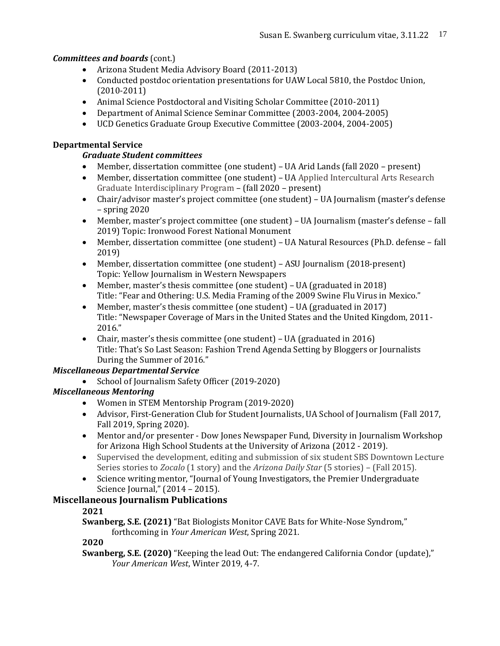# *Committees and boards* (cont.)

- Arizona Student Media Advisory Board (2011-2013)
- Conducted postdoc orientation presentations for UAW Local 5810, the Postdoc Union, (2010-2011)
- Animal Science Postdoctoral and Visiting Scholar Committee (2010-2011)
- Department of Animal Science Seminar Committee (2003-2004, 2004-2005)
- UCD Genetics Graduate Group Executive Committee (2003-2004, 2004-2005)

# **Departmental Service**

# *Graduate Student committees*

- Member, dissertation committee (one student) UA Arid Lands (fall 2020 present)
- Member, dissertation committee (one student) UA Applied Intercultural Arts Research Graduate Interdisciplinary Program – (fall 2020 – present)
- Chair/advisor master's project committee (one student) UA Journalism (master's defense – spring 2020
- Member, master's project committee (one student) UA Journalism (master's defense fall 2019) Topic: Ironwood Forest National Monument
- Member, dissertation committee (one student) UA Natural Resources (Ph.D. defense fall 2019)
- Member, dissertation committee (one student) ASU Journalism (2018-present) Topic: Yellow Journalism in Western Newspapers
- Member, master's thesis committee (one student) UA (graduated in 2018) Title: "Fear and Othering: U.S. Media Framing of the 2009 Swine Flu Virus in Mexico."
- Member, master's thesis committee (one student) UA (graduated in 2017) Title: "Newspaper Coverage of Mars in the United States and the United Kingdom, 2011- 2016."
- Chair, master's thesis committee (one student) UA (graduated in 2016) Title: That's So Last Season: Fashion Trend Agenda Setting by Bloggers or Journalists During the Summer of 2016."

# *Miscellaneous Departmental Service*

• School of Journalism Safety Officer (2019-2020)

# *Miscellaneous Mentoring*

- Women in STEM Mentorship Program (2019-2020)
- Advisor, First-Generation Club for Student Journalists, UA School of Journalism (Fall 2017, Fall 2019, Spring 2020).
- Mentor and/or presenter Dow Jones Newspaper Fund, Diversity in Journalism Workshop for Arizona High School Students at the University of Arizona (2012 - 2019).
- Supervised the development, editing and submission of six student SBS Downtown Lecture Series stories to *Zocalo* (1 story) and the *Arizona Daily Star* (5 stories) – (Fall 2015).
- Science writing mentor, "Journal of Young Investigators, the Premier Undergraduate Science Journal," (2014 – 2015).

# **Miscellaneous Journalism Publications**

# **2021**

**Swanberg, S.E. (2021)** "Bat Biologists Monitor CAVE Bats for White-Nose Syndrom," forthcoming in *Your American West*, Spring 2021.

# **2020**

**Swanberg, S.E. (2020)** "Keeping the lead Out: The endangered California Condor (update)," *Your American West*, Winter 2019, 4-7.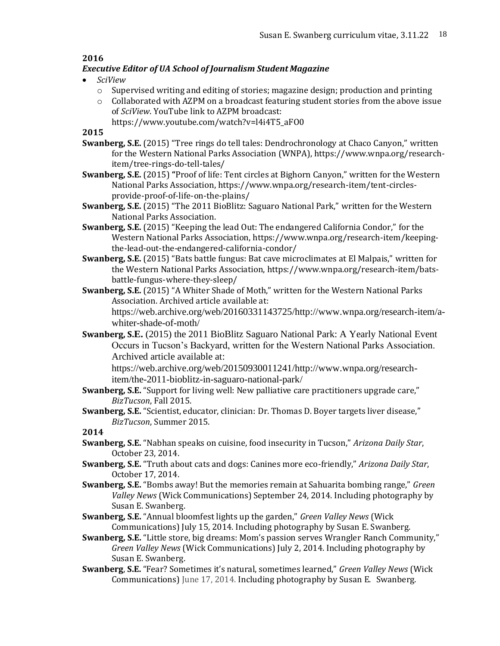# **2016**

# *Executive Editor of UA School of Journalism Student Magazine*

- *SciView*
	- $\circ$  Supervised writing and editing of stories; magazine design; production and printing
	- $\circ$  Collaborated with AZPM on a broadcast featuring student stories from the above issue of *SciView*. YouTube link to AZPM broadcast:
		- https://www.youtube.com/watch?v=l4i4T5\_aFO0

**2015** 

- **Swanberg, S.E.** (2015) "Tree rings do tell tales: Dendrochronology at Chaco Canyon," written for the Western National Parks Association (WNPA), https://www.wnpa.org/researchitem/tree-rings-do-tell-tales/
- **Swanberg, S.E.** (2015) **"**Proof of life: Tent circles at Bighorn Canyon," written for the Western National Parks Association, https://www.wnpa.org/research-item/tent-circlesprovide-proof-of-life-on-the-plains/
- **Swanberg, S.E.** (2015) "The 2011 BioBlitz: Saguaro National Park," written for the Western National Parks Association.
- **Swanberg, S.E.** (2015) "Keeping the lead Out: The endangered California Condor," for the Western National Parks Association, https://www.wnpa.org/research-item/keepingthe-lead-out-the-endangered-california-condor/
- **Swanberg, S.E.** (2015) "Bats battle fungus: Bat cave microclimates at El Malpais," written for the Western National Parks Association, [https://www.wnpa.org/research-item/bats](https://www.wnpa.org/research-item/bats-battle-fungus-where-they-sleep/)[battle-fungus-where-they-sleep/](https://www.wnpa.org/research-item/bats-battle-fungus-where-they-sleep/)
- **Swanberg, S.E.** (2015) "A Whiter Shade of Moth," written for the Western National Parks Association. Archived article available at: [https://web.archive.org/web/20160331143725/http://www.wnpa.org/research-item/a](https://web.archive.org/web/20160331143725/http:/www.wnpa.org/research-item/a-whiter-shade-of-moth/)[whiter-shade-of-moth/](https://web.archive.org/web/20160331143725/http:/www.wnpa.org/research-item/a-whiter-shade-of-moth/)
- **Swanberg, S.E.** (2015) the 2011 BioBlitz Saguaro National Park: A Yearly National Event Occurs in Tucson's Backyard, written for the Western National Parks Association. Archived article available at:

[https://web.archive.org/web/20150930011241/http://www.wnpa.org/research](https://web.archive.org/web/20150930011241/http:/www.wnpa.org/research-item/the-2011-bioblitz-in-saguaro-national-park/)[item/the-2011-bioblitz-in-saguaro-national-park/](https://web.archive.org/web/20150930011241/http:/www.wnpa.org/research-item/the-2011-bioblitz-in-saguaro-national-park/)

- **Swanberg, S.E.** "Support for living well: New palliative care practitioners upgrade care," *BizTucson*, Fall 2015.
- **Swanberg, S.E.** "Scientist, educator, clinician: Dr. Thomas D. Boyer targets liver disease," *BizTucson*, Summer 2015.

**2014**

- **Swanberg, S.E.** "Nabhan speaks on cuisine, food insecurity in Tucson," *Arizona Daily Star*, October 23, 2014.
- **Swanberg, S.E.** "Truth about cats and dogs: Canines more eco-friendly," *Arizona Daily Star*, October 17, 2014.
- **Swanberg, S.E.** "Bombs away! But the memories remain at Sahuarita bombing range," *Green Valley News* (Wick Communications) September 24, 2014. Including photography by Susan E. Swanberg.
- **Swanberg, S.E.** "Annual bloomfest lights up the garden," *Green Valley News* (Wick Communications) July 15, 2014. Including photography by Susan E. Swanberg.
- **Swanberg, S.E.** "Little store, big dreams: Mom's passion serves Wrangler Ranch Community," *Green Valley News* (Wick Communications) July 2, 2014. Including photography by Susan E. Swanberg.
- **Swanberg**, **S.E.** "Fear? Sometimes it's natural, sometimes learned," *Green Valley News* (Wick Communications) June 17, 2014. Including photography by Susan E. Swanberg.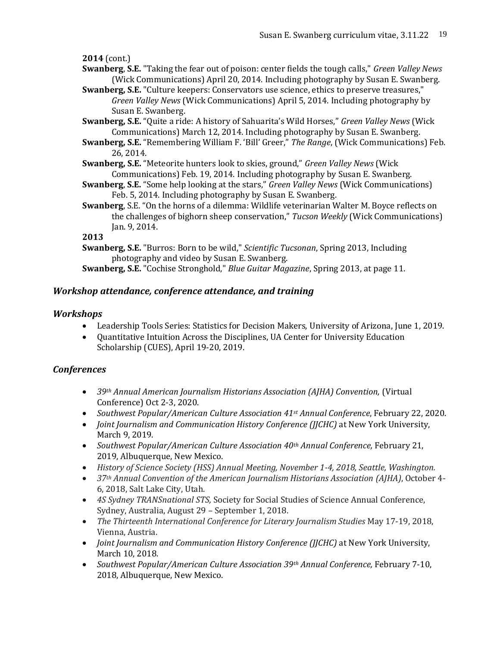**2014** (cont.)

- **Swanberg**, **S.E.** "Taking the fear out of poison: center fields the tough calls," *Green Valley News* (Wick Communications) April 20, 2014. Including photography by Susan E. Swanberg.
- **Swanberg, S.E.** "Culture keepers: Conservators use science, ethics to preserve treasures," *Green Valley News* (Wick Communications) April 5, 2014. Including photography by Susan E. Swanberg.
- **Swanberg, S.E.** "Quite a ride: A history of Sahuarita's Wild Horses," *Green Valley News* (Wick Communications) March 12, 2014. Including photography by Susan E. Swanberg.
- **Swanberg, S.E.** "Remembering William F. 'Bill' Greer," *The Range*, (Wick Communications) Feb. 26, 2014.
- **Swanberg, S.E.** "Meteorite hunters look to skies, ground," *Green Valley News* (Wick Communications) Feb. 19, 2014. Including photography by Susan E. Swanberg.
- **Swanberg**, **S.E.** "Some help looking at the stars," *Green Valley News* (Wick Communications) Feb. 5, 2014. Including photography by Susan E. Swanberg.
- **Swanberg**, S.E. "On the horns of a dilemma: Wildlife veterinarian Walter M. Boyce reflects on the challenges of bighorn sheep conservation," *Tucson Weekly* (Wick Communications) Jan. 9, 2014.

**2013**

**Swanberg, S.E.** "Burros: Born to be wild," *Scientific Tucsonan*, Spring 2013, Including photography and video by Susan E. Swanberg.

**Swanberg, S.E.** "Cochise Stronghold," *Blue Guitar Magazine*, Spring 2013, at page 11.

# *Workshop attendance, conference attendance, and training*

# *Workshops*

- Leadership Tools Series: Statistics for Decision Makers, University of Arizona, June 1, 2019.
- Quantitative Intuition Across the Disciplines, UA Center for University Education Scholarship (CUES), April 19-20, 2019.

# *Conferences*

- *39th Annual American Journalism Historians Association (AJHA) Convention,* (Virtual Conference) Oct 2-3, 2020.
- *Southwest Popular/American Culture Association 41st Annual Conference*, February 22, 2020.
- *Joint Journalism and Communication History Conference (JJCHC)* at New York University, March 9, 2019.
- *Southwest Popular/American Culture Association 40th Annual Conference,* February 21, 2019, Albuquerque, New Mexico.
- *History of Science Society (HSS) Annual Meeting, November 1-4, 2018, Seattle, Washington.*
- *37th Annual Convention of the American Journalism Historians Association (AJHA)*, October 4- 6, 2018, Salt Lake City, Utah.
- *4S Sydney TRANSnational STS,* Society for Social Studies of Science Annual Conference, Sydney, Australia, August 29 – September 1, 2018.
- *The Thirteenth International Conference for Literary Journalism Studies* May 17-19, 2018, Vienna, Austria.
- *Joint Journalism and Communication History Conference (JJCHC)* at New York University, March 10, 2018.
- *Southwest Popular/American Culture Association 39th Annual Conference,* February 7-10, 2018, Albuquerque, New Mexico.